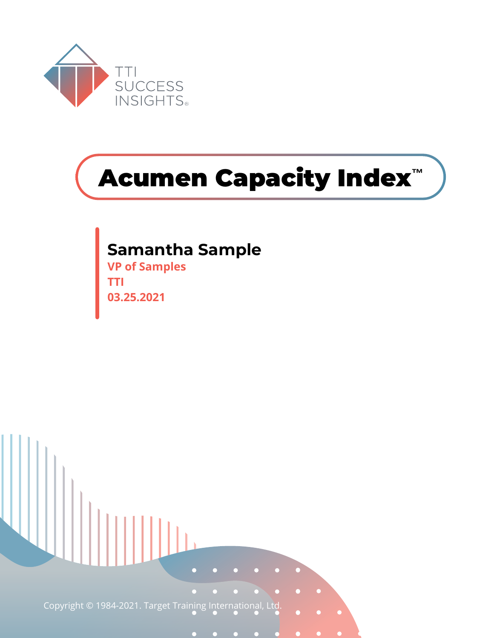

# **Acumen Capacity Index™**

## **Samantha Sample**

**VP of Samples TTI 03.25.2021**

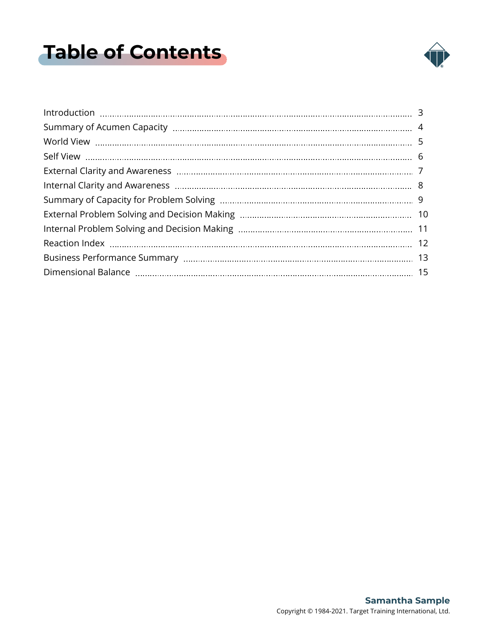# <span id="page-1-0"></span>**Table of Contents**

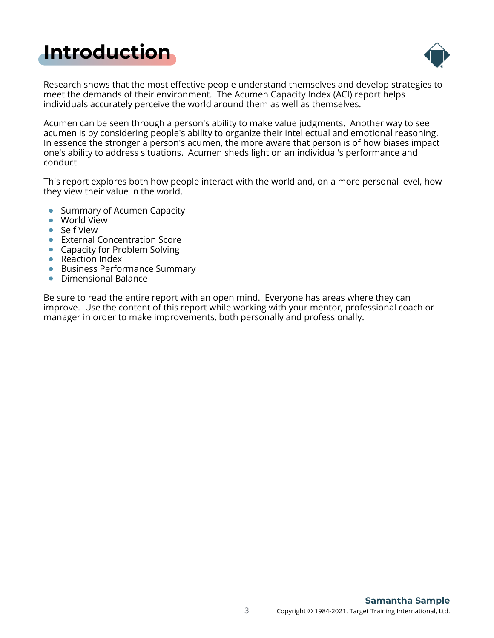# <span id="page-2-0"></span>**[Introduction](#page-1-0)**



Research shows that the most effective people understand themselves and develop strategies to meet the demands of their environment. The Acumen Capacity Index (ACI) report helps individuals accurately perceive the world around them as well as themselves.

Acumen can be seen through a person's ability to make value judgments. Another way to see acumen is by considering people's ability to organize their intellectual and emotional reasoning. In essence the stronger a person's acumen, the more aware that person is of how biases impact one's ability to address situations. Acumen sheds light on an individual's performance and conduct.

This report explores both how people interact with the world and, on a more personal level, how they view their value in the world.

- Summary of Acumen Capacity
- World View
- Self View
- **•** External Concentration Score
- Capacity for Problem Solving
- Reaction Index
- Business Performance Summary
- **•** Dimensional Balance

Be sure to read the entire report with an open mind. Everyone has areas where they can improve. Use the content of this report while working with your mentor, professional coach or manager in order to make improvements, both personally and professionally.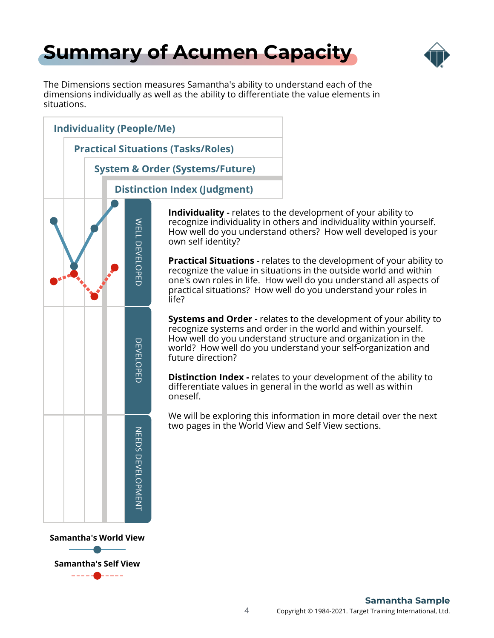# <span id="page-3-0"></span>**[Summary of Acumen Capacity](#page-1-0)**



The Dimensions section measures Samantha's ability to understand each of the dimensions individually as well as the ability to differentiate the value elements in situations.



**Samantha's Self View**

4 Copyright © 1984-2021. Target Training International, Ltd. **Samantha Sample**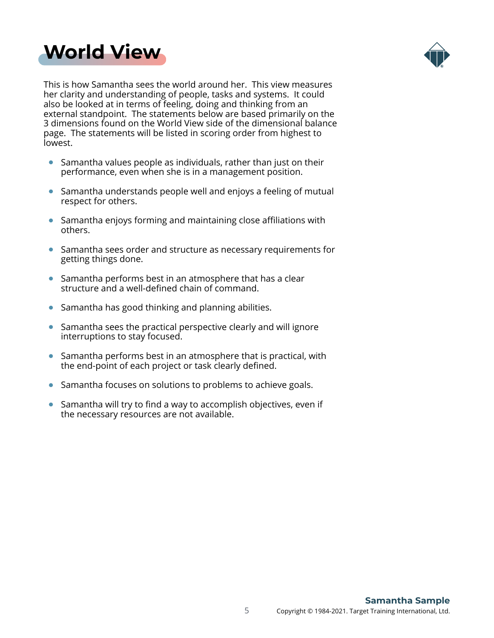## <span id="page-4-0"></span>**[World View](#page-1-0)**



This is how Samantha sees the world around her. This view measures her clarity and understanding of people, tasks and systems. It could also be looked at in terms of feeling, doing and thinking from an external standpoint. The statements below are based primarily on the 3 dimensions found on the World View side of the dimensional balance page. The statements will be listed in scoring order from highest to lowest.

- Samantha values people as individuals, rather than just on their performance, even when she is in a management position.
- Samantha understands people well and enjoys a feeling of mutual respect for others.
- Samantha enjoys forming and maintaining close affiliations with others.
- Samantha sees order and structure as necessary requirements for getting things done.
- Samantha performs best in an atmosphere that has a clear structure and a well-defined chain of command.
- Samantha has good thinking and planning abilities.
- Samantha sees the practical perspective clearly and will ignore interruptions to stay focused.
- Samantha performs best in an atmosphere that is practical, with the end-point of each project or task clearly defined.
- Samantha focuses on solutions to problems to achieve goals.  $\bullet$
- Samantha will try to find a way to accomplish objectives, even if the necessary resources are not available.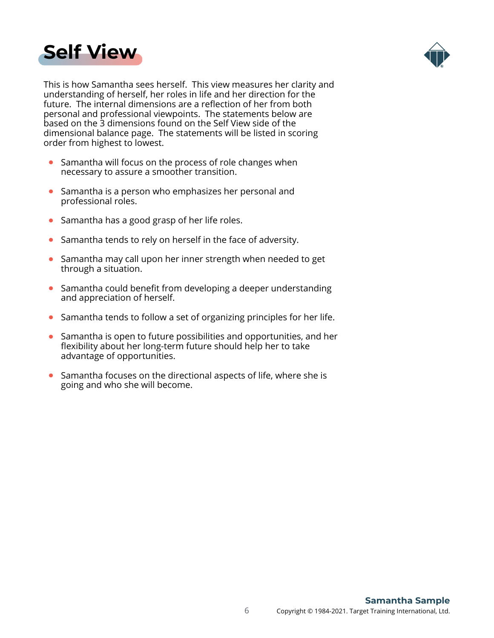<span id="page-5-0"></span>



This is how Samantha sees herself. This view measures her clarity and understanding of herself, her roles in life and her direction for the future. The internal dimensions are a reflection of her from both personal and professional viewpoints. The statements below are based on the 3 dimensions found on the Self View side of the dimensional balance page. The statements will be listed in scoring order from highest to lowest.

- Samantha will focus on the process of role changes when necessary to assure a smoother transition.
- Samantha is a person who emphasizes her personal and professional roles.
- Samantha has a good grasp of her life roles.
- Samantha tends to rely on herself in the face of adversity.
- Samantha may call upon her inner strength when needed to get through a situation.
- Samantha could benefit from developing a deeper understanding and appreciation of herself.
- Samantha tends to follow a set of organizing principles for her life.  $\bullet$
- Samantha is open to future possibilities and opportunities, and her flexibility about her long-term future should help her to take advantage of opportunities.
- Samantha focuses on the directional aspects of life, where she is going and who she will become.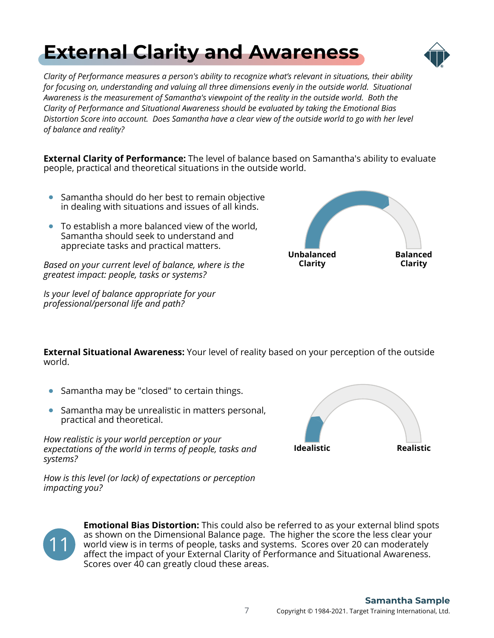## *Clarity of Performance measures a person's ability to recognize what's relevant in situations, their ability*

<span id="page-6-0"></span>**[External Clarity and Awareness](#page-1-0)**

*for focusing on, understanding and valuing all three dimensions evenly in the outside world. Situational Awareness is the measurement of Samantha's viewpoint of the reality in the outside world. Both the Clarity of Performance and Situational Awareness should be evaluated by taking the Emotional Bias Distortion Score into account. Does Samantha have a clear view of the outside world to go with her level of balance and reality?*

**External Clarity of Performance:** The level of balance based on Samantha's ability to evaluate people, practical and theoretical situations in the outside world.

- Samantha should do her best to remain objective in dealing with situations and issues of all kinds.
- To establish a more balanced view of the world, Samantha should seek to understand and appreciate tasks and practical matters.

*Based on your current level of balance, where is the greatest impact: people, tasks or systems?*

*Is your level of balance appropriate for your professional/personal life and path?*



**External Situational Awareness:** Your level of reality based on your perception of the outside world.

- Samantha may be "closed" to certain things.
- Samantha may be unrealistic in matters personal, practical and theoretical.

*How realistic is your world perception or your expectations of the world in terms of people, tasks and systems?*

*How is this level (or lack) of expectations or perception impacting you?*





**Emotional Bias Distortion:** This could also be referred to as your external blind spots as shown on the Dimensional Balance page. The higher the score the less clear your world view is in terms of people, tasks and systems. Scores over 20 can moderately affect the impact of your External Clarity of Performance and Situational Awareness. Scores over 40 can greatly cloud these areas.

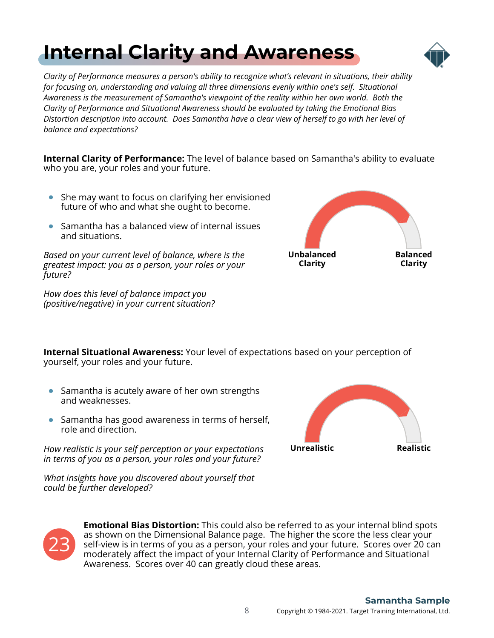### 8 Copyright © 1984-2021. Target Training International, Ltd. **Samantha Sample**

<span id="page-7-0"></span>

*Clarity of Performance measures a person's ability to recognize what's relevant in situations, their ability for focusing on, understanding and valuing all three dimensions evenly within one's self. Situational Awareness is the measurement of Samantha's viewpoint of the reality within her own world. Both the Clarity of Performance and Situational Awareness should be evaluated by taking the Emotional Bias Distortion description into account. Does Samantha have a clear view of herself to go with her level of balance and expectations?*

**Internal Clarity of Performance:** The level of balance based on Samantha's ability to evaluate who you are, your roles and your future.

- She may want to focus on clarifying her envisioned future of who and what she ought to become.
- Samantha has a balanced view of internal issues and situations.

*Based on your current level of balance, where is the greatest impact: you as a person, your roles or your future?*

*How does this level of balance impact you (positive/negative) in your current situation?*

**Internal Situational Awareness:** Your level of expectations based on your perception of yourself, your roles and your future.

- Samantha is acutely aware of her own strengths and weaknesses.
- Samantha has good awareness in terms of herself, role and direction.

*How realistic is your self perception or your expectations in terms of you as a person, your roles and your future?*

*What insights have you discovered about yourself that could be further developed?*









Awareness. Scores over 40 can greatly cloud these areas.

**Emotional Bias Distortion:** This could also be referred to as your internal blind spots as shown on the Dimensional Balance page. The higher the score the less clear your self-view is in terms of you as a person, your roles and your future. Scores over 20 can moderately affect the impact of your Internal Clarity of Performance and Situational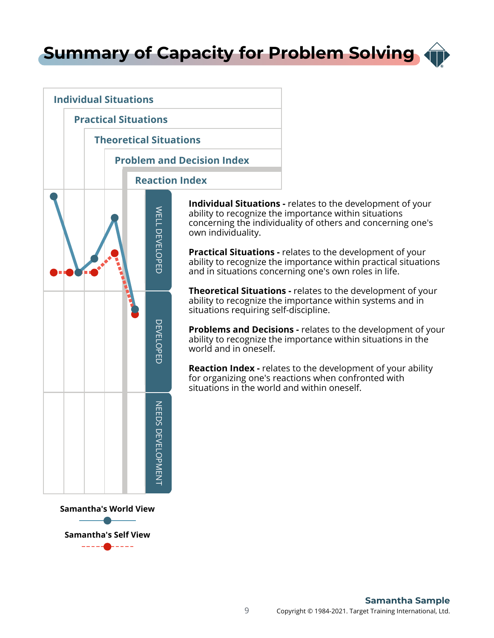<span id="page-8-0"></span>**[Summary of Capacity for Problem Solving](#page-1-0)**



**Samantha's World View**

**Samantha's Self View**

**Individual Situations -** relates to the development of your ability to recognize the importance within situations concerning the individuality of others and concerning one's own individuality.

**Practical Situations -** relates to the development of your ability to recognize the importance within practical situations and in situations concerning one's own roles in life.

**Theoretical Situations -** relates to the development of your ability to recognize the importance within systems and in situations requiring self-discipline.

**Problems and Decisions -** relates to the development of your ability to recognize the importance within situations in the world and in oneself.

**Reaction Index -** relates to the development of your ability for organizing one's reactions when confronted with situations in the world and within oneself.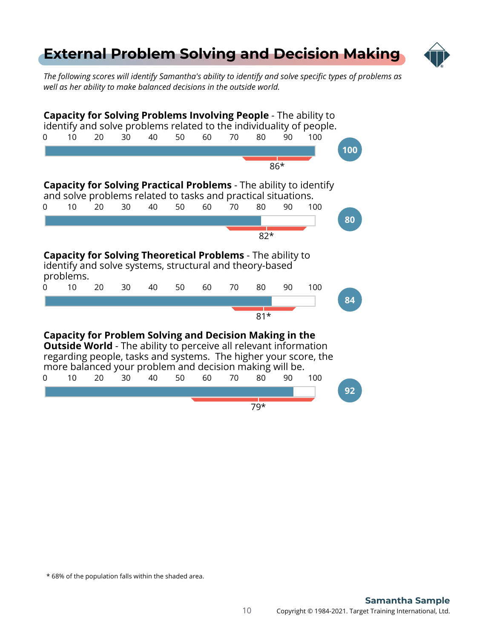### <span id="page-9-0"></span>**[External Problem Solving and Decision Making](#page-1-0)**



*The following scores will identify Samantha's ability to identify and solve specific types of problems as well as her ability to make balanced decisions in the outside world.*

| Capacity for Solving Problems Involving People - The ability to<br>identify and solve problems related to the individuality of people.<br>30<br>40<br>90<br>10<br>20<br>50<br>60<br>70<br>80<br>100<br>0                                                                |    |    |    |    |    |    |    |       |    |     |     |  |  |
|-------------------------------------------------------------------------------------------------------------------------------------------------------------------------------------------------------------------------------------------------------------------------|----|----|----|----|----|----|----|-------|----|-----|-----|--|--|
|                                                                                                                                                                                                                                                                         |    |    |    |    |    |    |    |       |    |     | 100 |  |  |
|                                                                                                                                                                                                                                                                         |    |    |    |    |    |    |    | $86*$ |    |     |     |  |  |
| <b>Capacity for Solving Practical Problems</b> - The ability to identify<br>and solve problems related to tasks and practical situations.                                                                                                                               |    |    |    |    |    |    |    |       |    |     |     |  |  |
| 0                                                                                                                                                                                                                                                                       | 10 | 20 | 30 | 40 | 50 | 60 | 70 | 80    | 90 | 100 |     |  |  |
|                                                                                                                                                                                                                                                                         |    |    |    |    |    |    |    |       |    |     | 80  |  |  |
|                                                                                                                                                                                                                                                                         |    |    |    |    |    |    |    | $82*$ |    |     |     |  |  |
| <b>Capacity for Solving Theoretical Problems</b> - The ability to<br>identify and solve systems, structural and theory-based<br>problems.<br>10<br>50<br>60<br>70<br>100<br>20<br>30<br>40                                                                              |    |    |    |    |    |    |    |       |    |     |     |  |  |
|                                                                                                                                                                                                                                                                         |    |    |    |    |    |    |    | 80    | 90 |     | 84  |  |  |
|                                                                                                                                                                                                                                                                         |    |    |    |    |    |    |    | $81*$ |    |     |     |  |  |
| <b>Capacity for Problem Solving and Decision Making in the</b><br><b>Outside World</b> - The ability to perceive all relevant information<br>regarding people, tasks and systems. The higher your score, the<br>more balanced your problem and decision making will be. |    |    |    |    |    |    |    |       |    |     |     |  |  |
| 0                                                                                                                                                                                                                                                                       | 10 | 20 | 30 | 40 | 50 | 60 | 70 | 80    | 90 | 100 |     |  |  |
|                                                                                                                                                                                                                                                                         |    |    |    |    |    |    |    |       |    |     | 92  |  |  |
|                                                                                                                                                                                                                                                                         |    |    |    |    |    |    |    | 79*   |    |     |     |  |  |

\* 68% of the population falls within the shaded area.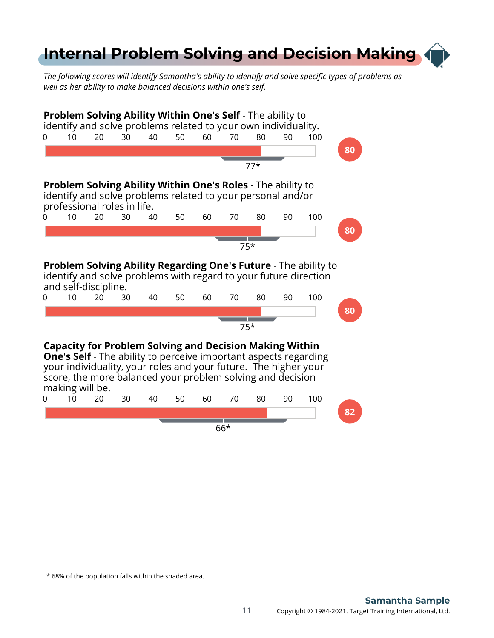## <span id="page-10-0"></span>**[Internal Problem Solving and Decision Making](#page-1-0)**

*The following scores will identify Samantha's ability to identify and solve specific types of problems as well as her ability to make balanced decisions within one's self.*



\* 68% of the population falls within the shaded area.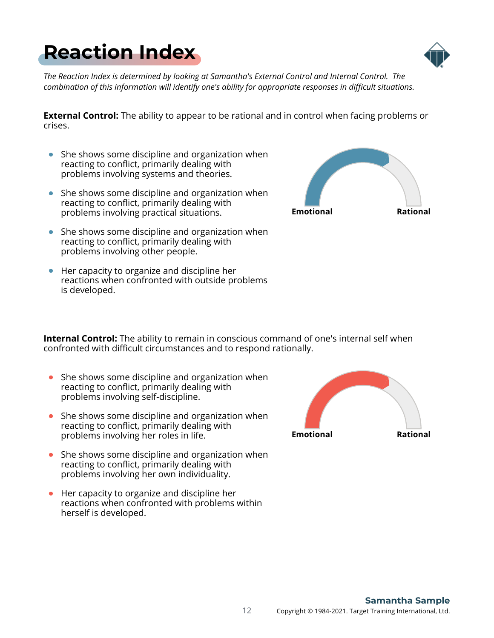*The Reaction Index is determined by looking at Samantha's External Control and Internal Control. The combination of this information will identify one's ability for appropriate responses in difficult situations.*

**External Control:** The ability to appear to be rational and in control when facing problems or crises.

- She shows some discipline and organization when reacting to conflict, primarily dealing with problems involving systems and theories.
- $\bullet$  She shows some discipline and organization when reacting to conflict, primarily dealing with problems involving practical situations.
- She shows some discipline and organization when reacting to conflict, primarily dealing with problems involving other people.
- Her capacity to organize and discipline her reactions when confronted with outside problems is developed.

**Internal Control:** The ability to remain in conscious command of one's internal self when confronted with difficult circumstances and to respond rationally.

- $\bullet$  She shows some discipline and organization when reacting to conflict, primarily dealing with problems involving self-discipline.
- She shows some discipline and organization when reacting to conflict, primarily dealing with problems involving her roles in life.
- $\bullet$  She shows some discipline and organization when reacting to conflict, primarily dealing with problems involving her own individuality.
- Her capacity to organize and discipline her reactions when confronted with problems within herself is developed.







<span id="page-11-0"></span>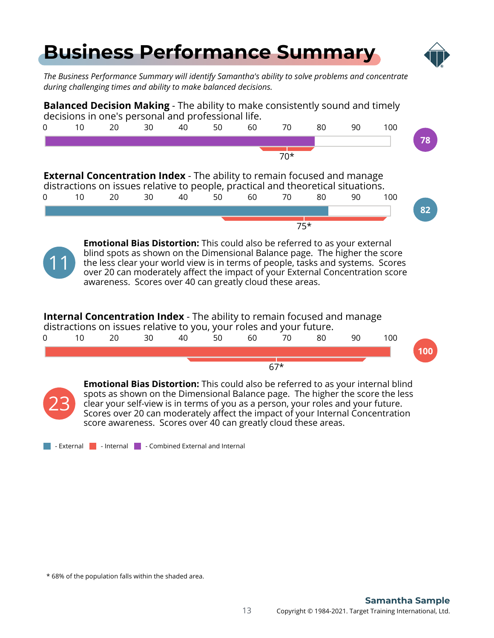## <span id="page-12-0"></span>**[Business Performance Summary](#page-1-0)**



*The Business Performance Summary will identify Samantha's ability to solve problems and concentrate during challenging times and ability to make balanced decisions.*



Scores over 20 can moderately affect the impact of your Internal Concentration score awareness. Scores over 40 can greatly cloud these areas.

 $\blacksquare$  - External  $\blacksquare$  - Internal  $\blacksquare$  - Combined External and Internal

\* 68% of the population falls within the shaded area.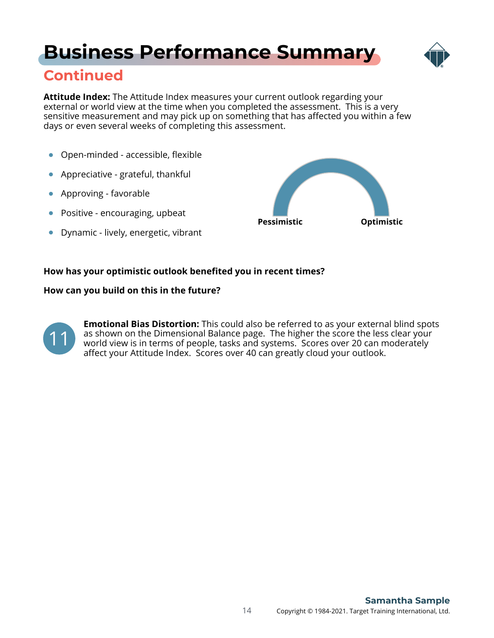# **[Business Performance Summary](#page-1-0)**



### **Continued**

**Attitude Index:** The Attitude Index measures your current outlook regarding your external or world view at the time when you completed the assessment. This is a very sensitive measurement and may pick up on something that has affected you within a few days or even several weeks of completing this assessment.

- Open-minded accessible, flexible  $\bullet$
- Appreciative grateful, thankful  $\bullet$
- Approving favorable
- Positive encouraging, upbeat
- **•** Dynamic lively, energetic, vibrant



### **How has your optimistic outlook benefited you in recent times?**

### **How can you build on this in the future?**



**Emotional Bias Distortion:** This could also be referred to as your external blind spots as shown on the Dimensional Balance page. The higher the score the less clear your world view is in terms of people, tasks and systems. Scores over 20 can moderately affect your Attitude Index. Scores over 40 can greatly cloud your outlook.